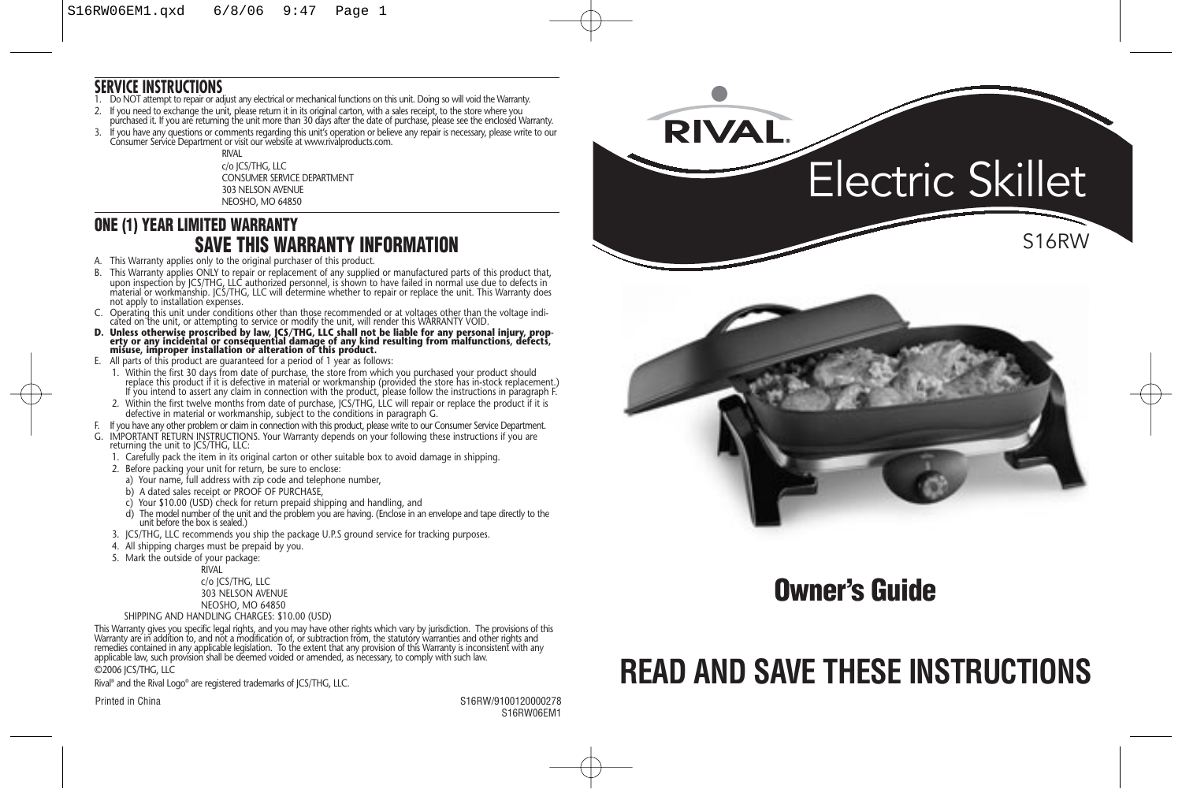#### **SERVICE INSTRUCTIONS**

- 1. Do NOT attempt to repair or adjust any electrical or mechanical functions on this unit. Doing so will void the Warranty.
- 2. If you need to exchange the unit, please return it in its original carton, with a sales receipt, to the store where you purchased it. If you are returning the unit more than 30 days after the date of purchase, please see the enclosed Warranty.
- 3. If you have any questions or comments regarding this unit's operation or believe any repair is necessary, please write to our<br>Consumer Service Department or visit our website at www.rivalproducts.com.

RIVAL c/o JCS/THG, LLC CONSUMER SERVICE DEPARTMENT 303 NELSON AVENUE NEOSHO, MO 64850

#### **ONE (1) YEAR LIMITED WARRANTY SAVE THIS WARRANTY INFORMATION**

- A. This Warranty applies only to the original purchaser of this product.
- B. This Warranty applies ONLY to repair or replacement of any supplied or manufactured parts of this product that,<br>upon inspection by JCS/THG, LLC authorized personnel, is shown to have failed in normal use due to defects not apply to installation expenses.
- C. Operating this unit under conditions other than those recommended or at voltages other than the voltage indi- cated on the unit, or attempting to service or modify the unit, will render this WARRANTY VOID.
- D. Unless otherwise proscribed by law, JCS/THG, LLC shall not be liable for any personal injury, prop-<br>erty or any incidental or consequential damage of any kind resulting from malfunctions, defects,<br>misuse, improper insta
- E. All parts of this product are guaranteed for a period of 1 year as follows:
- 1. Within the first 30 days from date of purchase, the store from which you purchased your product should replace this product if it is defective in material or workmanship (provided the store has in-stock replacement.) If you intend to assert any claim in connection with the product, please follow the instructions in paragraph F.
- 2. Within the first twelve months from date of purchase, JCS/THG, LLC will repair or replace the product if it is defective in material or workmanship, subject to the conditions in paragraph G.
- F. If you have any other problem or claim in connection with this product, please write to our Consumer Service Department.<br>C. IMPORTANT RETURN INSTRUCTIONS, Your Warranty depends on your following these instructions if yo
- IMPORTANT RETURN INSTRUCTIONS. Your Warranty depends on your following these instructions if you are<br>returning the unit to JCS/THG, LLC:
- 1. Carefully pack the item in its original carton or other suitable box to avoid damage in shipping.
- 2. Before packing your unit for return, be sure to enclose:
- a) Your name, full address with zip code and telephone number,
- b) A dated sales receipt or PROOF OF PURCHASE,
- c) Your \$10.00 (USD) check for return prepaid shipping and handling, and
- d) The model number of the unit and the problem you are having. (Enclose in an envelope and tape directly to the unit before the box is sealed.)
- 3. JCS/THG, LLC recommends you ship the package U.P.S ground service for tracking purposes.
- 4. All shipping charges must be prepaid by you.
- 5. Mark the outside of your package:

RIVAL

c/o JCS/THG, LLC 303 NELSON AVENUE NEOSHO, MO 64850 SHIPPING AND HANDLING CHARGES: \$10.00 (USD)

This Warranty gives you specific legal rights, and you may have other rights which vary by jurisdiction. The provisions of this Warranty are in addition to, and not a modification of, or subtraction from, the statutory warranties and other rights and<br>remedies contained in any applicable legislation. To the extent that any provision of this Warranty applicable law, such provision shall be deemed voided or amended, as necessary, to comply with such law. ©2006 JCS/THG, LLC

Rival® and the Rival Logo® are registered trademarks of JCS/THG, LLC.

Printed in China States of the States of the States of the S16RW/9100120000278 S16RW06EM1



### **Owner's Guide**

# **READ AND SAVE THESE INSTRUCTIONS**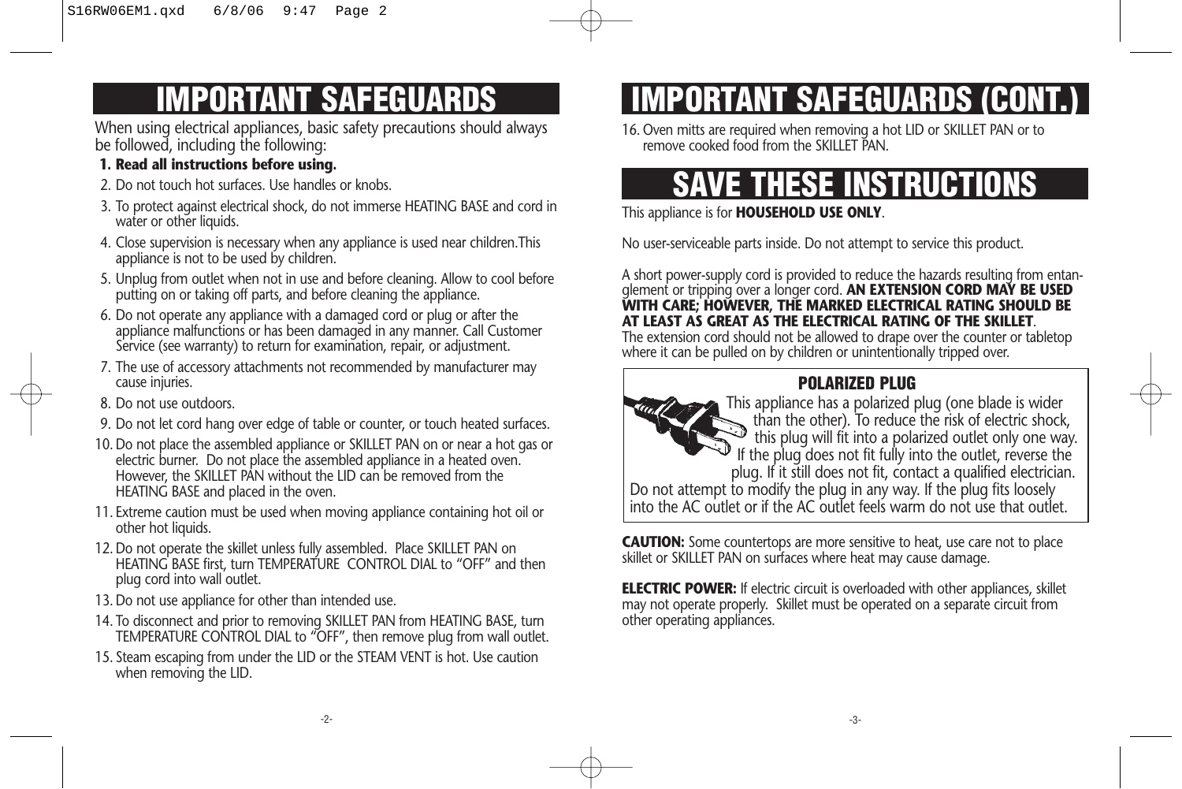## **IMPORTANT SAFEGUARDS**

When using electrical appliances, basic safety precautions should always be followed, including the following:

#### **1. Read all instructions before using.**

- 2. Do not touch hot surfaces. Use handles or knobs.
- 3. To protect against electrical shock, do not immerse HEATING BASE and cord in water or other liquids.
- 4. Close supervision is necessary when any appliance is used near children.This appliance is not to be used by children.
- 5. Unplug from outlet when not in use and before cleaning. Allow to cool before putting on or taking off parts, and before cleaning the appliance.
- 6. Do not operate any appliance with a damaged cord or plug or after the appliance malfunctions or has been damaged in any manner. Call Customer Service (see warranty) to return for examination, repair, or adjustment.
- 7. The use of accessory attachments not recommended by manufacturer may cause injuries.
- 8. Do not use outdoors.
- 9. Do not let cord hang over edge of table or counter, or touch heated surfaces.
- 10. Do not place the assembled appliance or SKILLET PAN on or near a hot gas or electric burner. Do not place the assembled appliance in a heated oven. However, the SKILLET PAN without the LID can be removed from the HEATING BASE and placed in the oven.
- 11. Extreme caution must be used when moving appliance containing hot oil or other hot liquids.
- 12. Do not operate the skillet unless fully assembled. Place SKILLET PAN on HEATING BASE first, turn TEMPERATURE CONTROL DIAL to "OFF" and then plug cord into wall outlet.
- 13. Do not use appliance for other than intended use.
- 14. To disconnect and prior to removing SKILLET PAN from HEATING BASE, turn TEMPERATURE CONTROL DIAL to "OFF", then remove plug from wall outlet.
- 15. Steam escaping from under the LID or the STEAM VENT is hot. Use caution when removing the LID.

# **IMPORTANT SAFEGUARDS (CONT.)**

16. Oven mitts are required when removing a hot LID or SKILLET PAN or to remove cooked food from the SKILLET PAN.

## **SAVE THESE INSTRUCTIONS**

This appliance is for **HOUSEHOLD USE ONLY**.

No user-serviceable parts inside. Do not attempt to service this product.

A short power-supply cord is provided to reduce the hazards resulting from entanglement or tripping over a longer cord. **AN EXTENSION CORD MAY BE USED WITH CARE; HOWEVER, THE MARKED ELECTRICAL RATING SHOULD BE AT LEAST AS GREAT AS THE ELECTRICAL RATING OF THE SKILLET**.

The extension cord should not be allowed to drape over the counter or tabletop where it can be pulled on by children or unintentionally tripped over.

#### **POLARIZED PLUG**



This appliance has a polarized plug (one blade is wider than the other). To reduce the risk of electric shock, this plug will fit into a polarized outlet only one way. If the plug does not fit fully into the outlet, reverse the plug. If it still does not fit, contact a qualified electrician. Do not attempt to modify the plug in any way. If the plug fits loosely into the AC outlet or if the AC outlet feels warm do not use that outlet.

**CAUTION:** Some countertops are more sensitive to heat, use care not to place skillet or SKILLET PAN on surfaces where heat may cause damage.

**ELECTRIC POWER:** If electric circuit is overloaded with other appliances, skillet may not operate properly. Skillet must be operated on a separate circuit from other operating appliances.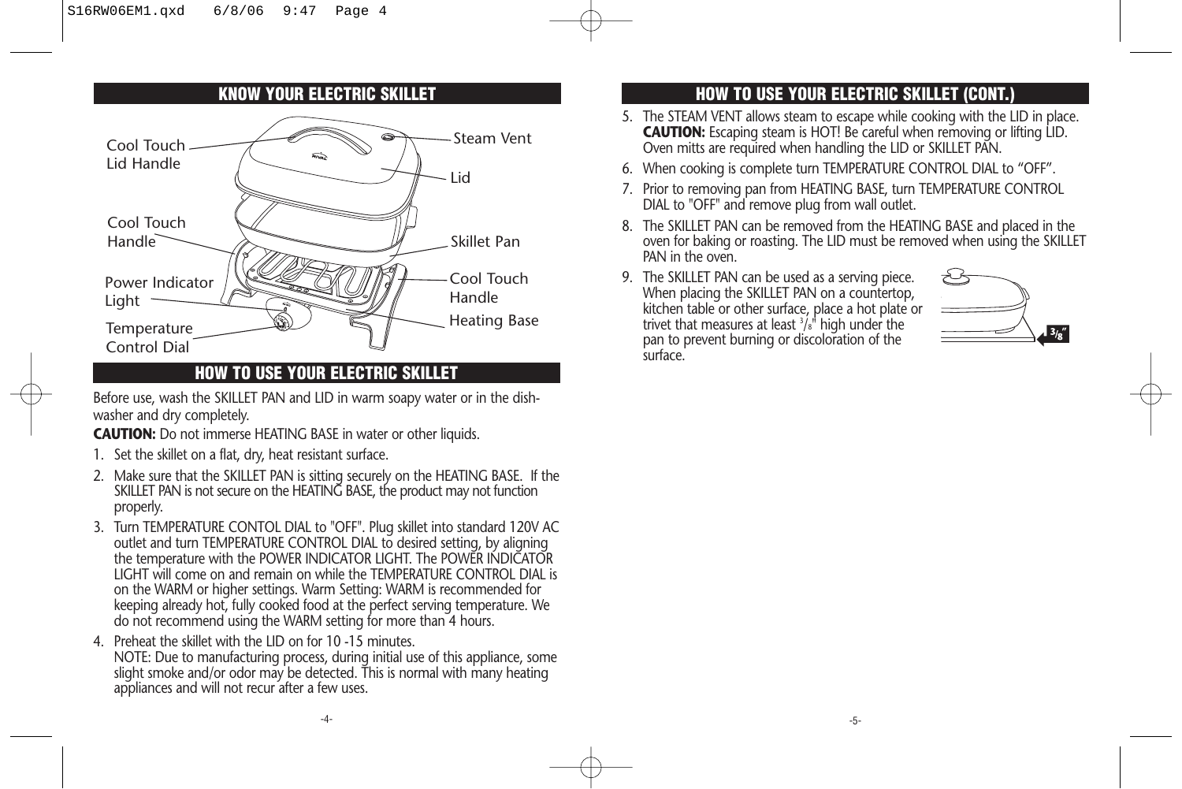#### **KNOW YOUR ELECTRIC SKILLET**



#### **HOW TO USE YOUR ELECTRIC SKILLET**

Before use, wash the SKILLET PAN and LID in warm soapy water or in the dishwasher and dry completely.

**CAUTION:** Do not immerse HEATING BASE in water or other liquids.

- 1. Set the skillet on a flat, dry, heat resistant surface.
- 2. Make sure that the SKILLET PAN is sitting securely on the HEATING BASE. If the SKILLET PAN is not secure on the HEATING BASE, the product may not function properly.
- 3. Turn TEMPERATURE CONTOL DIAL to "OFF". Plug skillet into standard 120V AC outlet and turn TEMPERATURE CONTROL DIAL to desired setting, by aligning the temperature with the POWER INDICATOR LIGHT. The POWER INDICATOR LIGHT will come on and remain on while the TEMPERATURE CONTROL DIAL is on the WARM or higher settings. Warm Setting: WARM is recommended for keeping already hot, fully cooked food at the perfect serving temperature. We do not recommend using the WARM setting for more than 4 hours.
- 4. Preheat the skillet with the LID on for 10 -15 minutes. NOTE: Due to manufacturing process, during initial use of this appliance, some slight smoke and/or odor may be detected. This is normal with many heating appliances and will not recur after a few uses.

#### **HOW TO USE YOUR ELECTRIC SKILLET (CONT.)**

- 5. The STEAM VENT allows steam to escape while cooking with the LID in place. **CAUTION:** Escaping steam is HOT! Be careful when removing or lifting LID. Oven mitts are required when handling the LID or SKILLET PAN.
- 6. When cooking is complete turn TEMPERATURE CONTROL DIAL to "OFF".
- 7. Prior to removing pan from HEATING BASE, turn TEMPERATURE CONTROL DIAL to "OFF" and remove plug from wall outlet.
- 8. The SKILLET PAN can be removed from the HEATING BASE and placed in the oven for baking or roasting. The LID must be removed when using the SKILLET PAN in the oven.
- 9. The SKILLET PAN can be used as a serving piece. When placing the SKILLET PAN on a countertop, kitchen table or other surface, place a hot plate or trivet that measures at least 3 /8" high under the pan to prevent burning or discoloration of the surface.

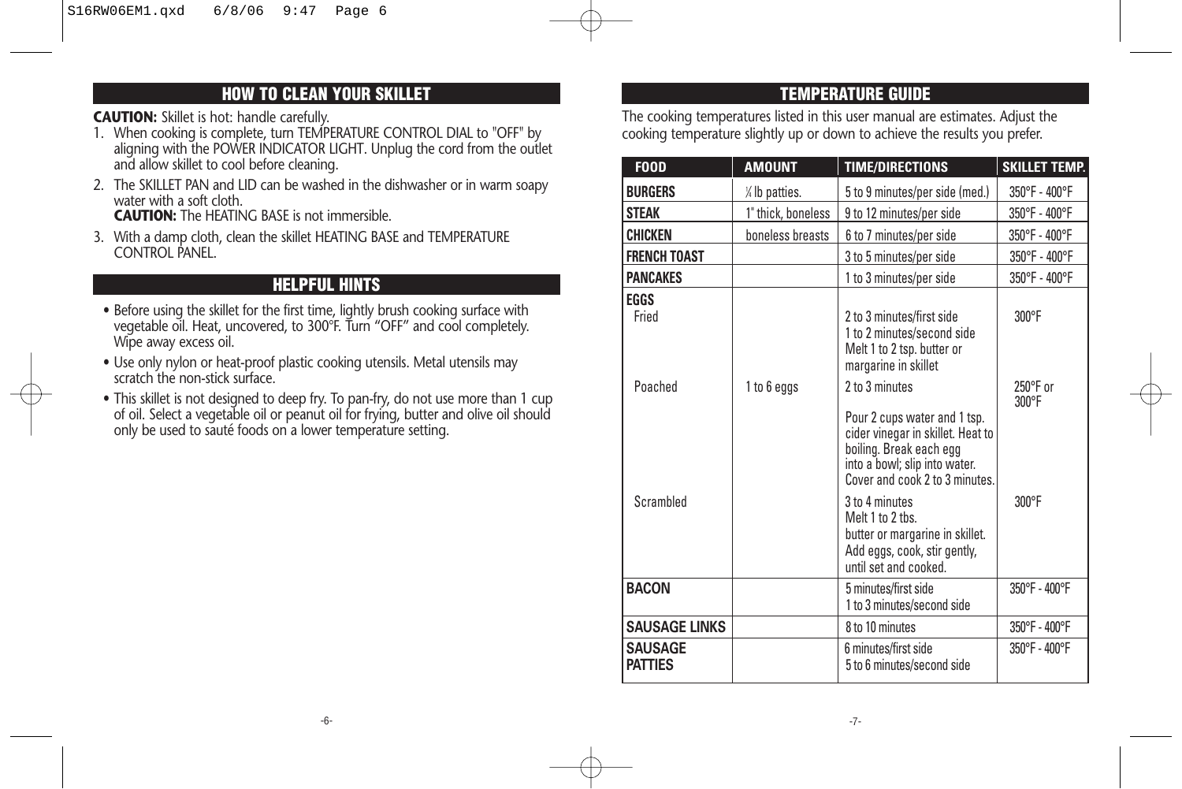#### **HOW TO CLEAN YOUR SKILLET**

**CAUTION:** Skillet is hot: handle carefully.

- 1. When cooking is complete, turn TEMPERATURE CONTROL DIAL to "OFF" by aligning with the POWER INDICATOR LIGHT. Unplug the cord from the outlet and allow skillet to cool before cleaning.
- 2. The SKILLET PAN and LID can be washed in the dishwasher or in warm soapy water with a soft cloth. **CAUTION:** The HEATING BASE is not immersible.
- 3. With a damp cloth, clean the skillet HEATING BASE and TEMPERATURE CONTROL PANEL.

#### **HELPFUL HINTS**

- Before using the skillet for the first time, lightly brush cooking surface with vegetable oil. Heat, uncovered, to 300°F. Turn "OFF" and cool completely. Wipe away excess oil.
- Use only nylon or heat-proof plastic cooking utensils. Metal utensils may scratch the non-stick surface.
- $\bullet$  This skillet is not designed to deep fry. To pan-fry, do not use more than  $1$  cup of oil. Select a vegetable oil or peanut oil for frying, butter and olive oil should only be used to sauté foods on a lower temperature setting.

#### **TEMPERATURE GUIDE**

The cooking temperatures listed in this user manual are estimates. Adjust the cooking temperature slightly up or down to achieve the results you prefer.

| <b>FOOD</b>                      | <b>AMOUNT</b>      | <b>TIME/DIRECTIONS</b>                                                                                                                                          | <b>SKILLET TEMP.</b>        |
|----------------------------------|--------------------|-----------------------------------------------------------------------------------------------------------------------------------------------------------------|-----------------------------|
| <b>BURGERS</b>                   | / Ib patties.      | 5 to 9 minutes/per side (med.)                                                                                                                                  | 350°F - 400°F               |
| <b>STEAK</b>                     | 1" thick, boneless | 9 to 12 minutes/per side                                                                                                                                        | 350°F - 400°F               |
| <b>CHICKEN</b>                   | boneless breasts   | 6 to 7 minutes/per side                                                                                                                                         | 350°F - 400°F               |
| <b>FRENCH TOAST</b>              |                    | 3 to 5 minutes/per side                                                                                                                                         | 350°F - 400°F               |
| <b>PANCAKES</b>                  |                    | 1 to 3 minutes/per side                                                                                                                                         | 350°F - 400°F               |
| <b>EGGS</b><br>Fried             |                    | 2 to 3 minutes/first side<br>1 to 2 minutes/second side<br>Melt 1 to 2 tsp. butter or<br>margarine in skillet                                                   | 300°F                       |
| Poached                          | 1 to 6 eggs        | 2 to 3 minutes                                                                                                                                                  | $250^{\circ}$ F or<br>300°F |
|                                  |                    | Pour 2 cups water and 1 tsp.<br>cider vinegar in skillet. Heat to<br>boiling. Break each egg<br>into a bowl; slip into water.<br>Cover and cook 2 to 3 minutes. |                             |
| Scrambled                        |                    | 3 to 4 minutes<br>Melt 1 to 2 tbs.<br>butter or margarine in skillet.<br>Add eggs, cook, stir gently,<br>until set and cooked.                                  | 300°F                       |
| <b>BACON</b>                     |                    | 5 minutes/first side<br>1 to 3 minutes/second side                                                                                                              | 350°F - 400°F               |
| <b>SAUSAGE LINKS</b>             |                    | 8 to 10 minutes                                                                                                                                                 | 350°F - 400°F               |
| <b>SAUSAGE</b><br><b>PATTIES</b> |                    | 6 minutes/first side<br>5 to 6 minutes/second side                                                                                                              | 350°F - 400°F               |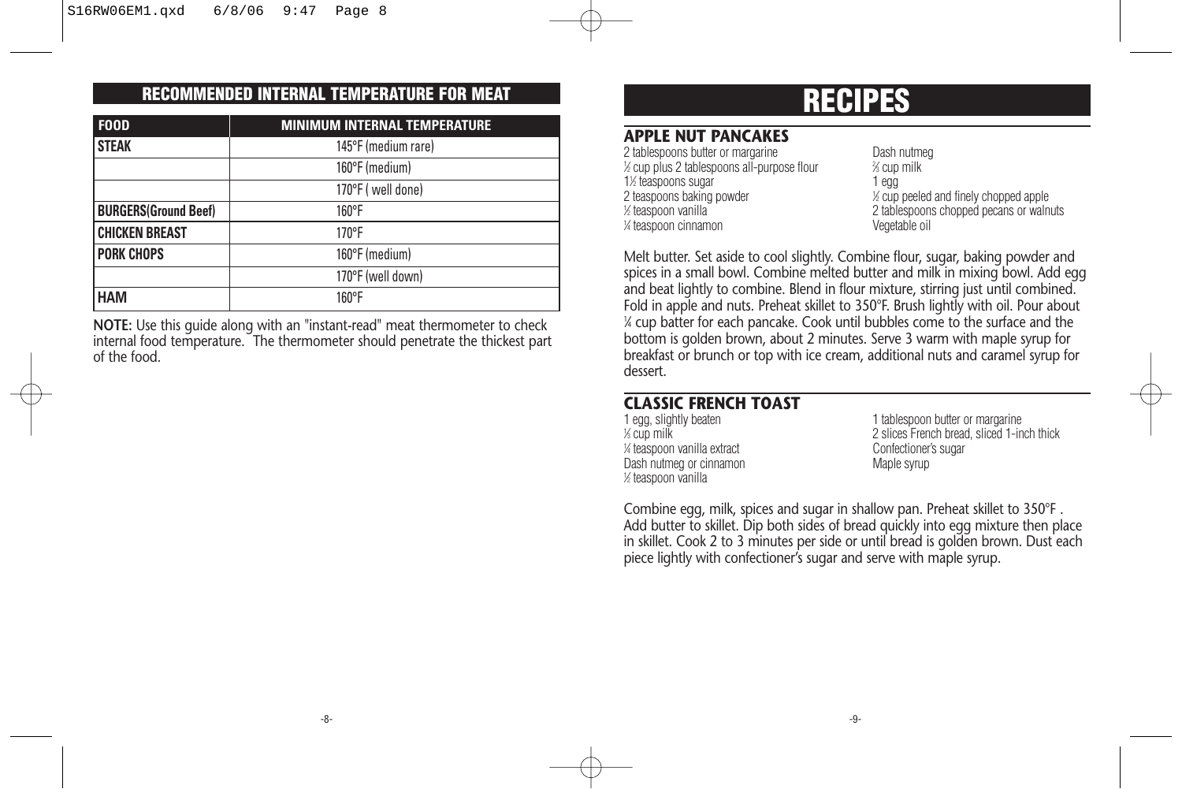#### **RECOMMENDED INTERNAL TEMPERATURE FOR MEAT**

| <b>FOOD</b>                 | <b>MINIMUM INTERNAL TEMPERATURE</b> |
|-----------------------------|-------------------------------------|
| <b>STEAK</b>                | 145°F (medium rare)                 |
|                             | 160°F (medium)                      |
|                             | 170°F (well done)                   |
| <b>BURGERS(Ground Beef)</b> | $160^{\circ}F$                      |
| <b>CHICKEN BREAST</b>       | $170^{\circ}F$                      |
| <b>PORK CHOPS</b>           | 160°F (medium)                      |
|                             | 170°F (well down)                   |
| <b>HAM</b>                  | $160^{\circ}F$                      |

**NOTE:** Use this guide along with an "instant-read" meat thermometer to check internal food temperature. The thermometer should penetrate the thickest part of the food.

### **RECIPES**

#### **APPLE NUT PANCAKES**

2 tablespoons butter or margarine Dash nutmeg 1 ⁄2 cup plus 2 tablespoons all-purpose flour <sup>2</sup> 1<sup>1</sup>/<sub>2</sub> teaspoons sugar 1 egg 2 teaspoons baking powder <sup>1</sup> 1/<sub>2</sub> teaspoon vanilla 1 ⁄4 teaspoon cinnamon Vegetable oil

⁄3 cup milk ⁄2 cup peeled and finely chopped apple 2 tablespoons chopped pecans or walnuts

Melt butter. Set aside to cool slightly. Combine flour, sugar, baking powder and spices in a small bowl. Combine melted butter and milk in mixing bowl. Add egg and beat lightly to combine. Blend in flour mixture, stirring just until combined. Fold in apple and nuts. Preheat skillet to 350°F. Brush lightly with oil. Pour about 1 ⁄4 cup batter for each pancake. Cook until bubbles come to the surface and the bottom is golden brown, about 2 minutes. Serve 3 warm with maple syrup for breakfast or brunch or top with ice cream, additional nuts and caramel syrup for dessert.

### **CLASSIC FRENCH TOAST**<br>1 egg, slightly beaten

1/<sub>2</sub> cup milk <sup>1/4</sup> teaspoon vanilla extract confectioner's sugar Dash nutmeg or cinnamon Maple syrup 1 ⁄2 teaspoon vanilla

1 tablespoon butter or margarine 2 slices French bread, sliced 1-inch thick<br>Confectioner's sugar

Combine egg, milk, spices and sugar in shallow pan. Preheat skillet to 350°F . Add butter to skillet. Dip both sides of bread quickly into egg mixture then place in skillet. Cook 2 to 3 minutes per side or until bread is golden brown. Dust each piece lightly with confectioner's sugar and serve with maple syrup.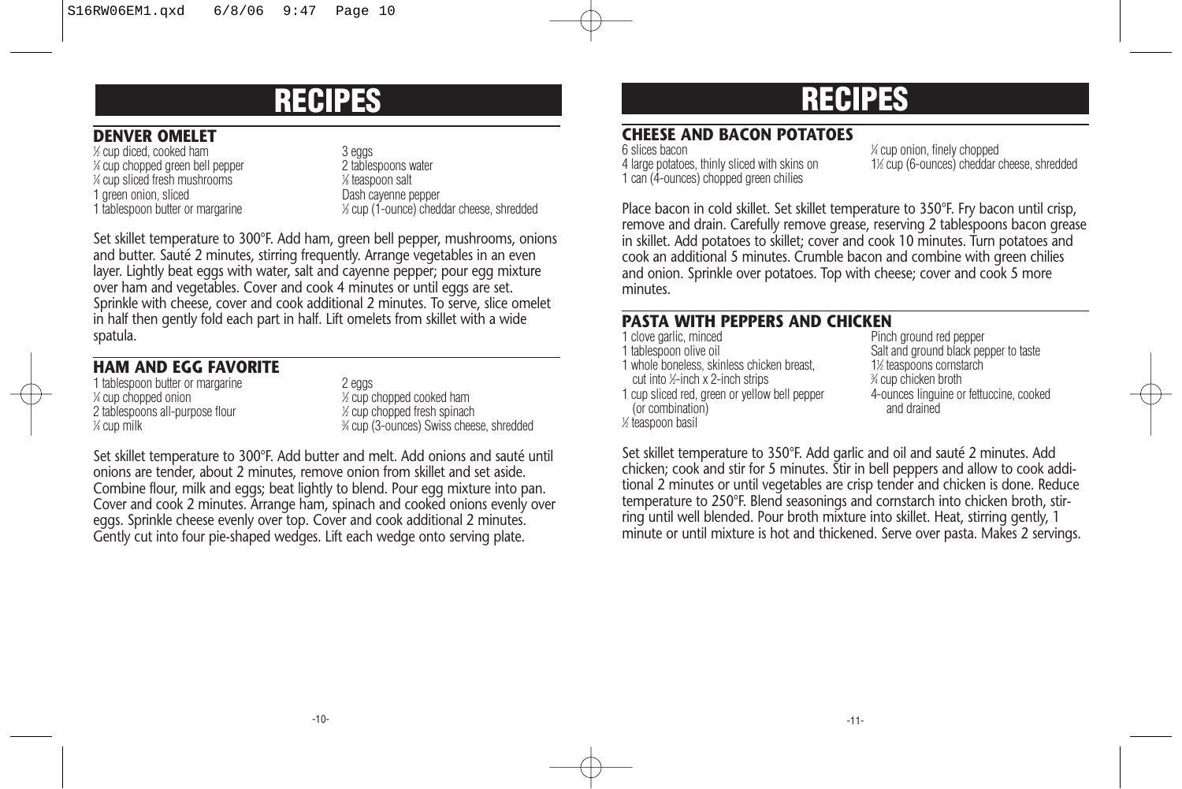### **RECIPES**

#### **DENVER OMELET**

1 ⁄2 cup diced, cooked ham 3 eggs 1 ⁄4 cup chopped green bell pepper 2 tablespoons water 1 ⁄4 cup sliced fresh mushrooms <sup>1</sup> 1 green onion, sliced Dash cayenne pepper 1 tablespoon butter or margarine

⁄8 teaspoon salt ⁄3 cup (1-ounce) cheddar cheese, shredded

Set skillet temperature to 300°F. Add ham, green bell pepper, mushrooms, onions and butter. Sauté 2 minutes, stirring frequently. Arrange vegetables in an even layer. Lightly beat eggs with water, salt and cayenne pepper; pour egg mixture over ham and vegetables. Cover and cook 4 minutes or until eggs are set. Sprinkle with cheese, cover and cook additional 2 minutes. To serve, slice omelet in half then gently fold each part in half. Lift omelets from skillet with a wide spatula.

#### **HAM AND EGG FAVORITE**

1 tablespoon butter or margarine 2 eggs  $\frac{1}{4}$  cup chopped onion  $\frac{1}{4}$ 2 tablespoons all-purpose flour <sup>1</sup> 1 ⁄4 cup milk <sup>3</sup>

⁄2 cup chopped cooked ham ⁄2 cup chopped fresh spinach ⁄4 cup (3-ounces) Swiss cheese, shredded

Set skillet temperature to 300°F. Add butter and melt. Add onions and sauté until onions are tender, about 2 minutes, remove onion from skillet and set aside. Combine flour, milk and eggs; beat lightly to blend. Pour egg mixture into pan. Cover and cook 2 minutes. Arrange ham, spinach and cooked onions evenly over eggs. Sprinkle cheese evenly over top. Cover and cook additional 2 minutes. Gently cut into four pie-shaped wedges. Lift each wedge onto serving plate.

### **RECIPES**

#### **CHEESE AND BACON POTATOES**

6 slices bacon 4 large potatoes, thinly sliced with skins on 1 can (4-ounces) chopped green chilies

⁄4 cup onion, finely chopped ⁄2 cup (6-ounces) cheddar cheese, shredded

Place bacon in cold skillet. Set skillet temperature to 350°F. Fry bacon until crisp, remove and drain. Carefully remove grease, reserving 2 tablespoons bacon grease in skillet. Add potatoes to skillet; cover and cook 10 minutes. Turn potatoes and cook an additional 5 minutes. Crumble bacon and combine with green chilies and onion. Sprinkle over potatoes. Top with cheese; cover and cook 5 more minutes.

### **PASTA WITH PEPPERS AND CHICKEN** 1 clove garlic, minced

1 whole boneless, skinless chicken breast, cut into 1 ⁄2-inch x 2-inch strips <sup>3</sup> 1 cup sliced red, green or yellow bell pepper

(or combination) and drained

1 ⁄2 teaspoon basil

Pinch ground red pepper 1 tablespoon olive oil Salt and ground black pepper to taste ⁄2 teaspoons cornstarch ⁄4 cup chicken broth

Set skillet temperature to 350°F. Add garlic and oil and sauté 2 minutes. Add chicken; cook and stir for 5 minutes. Stir in bell peppers and allow to cook additional 2 minutes or until vegetables are crisp tender and chicken is done. Reduce temperature to 250°F. Blend seasonings and cornstarch into chicken broth, stirring until well blended. Pour broth mixture into skillet. Heat, stirring gently, 1 minute or until mixture is hot and thickened. Serve over pasta. Makes 2 servings.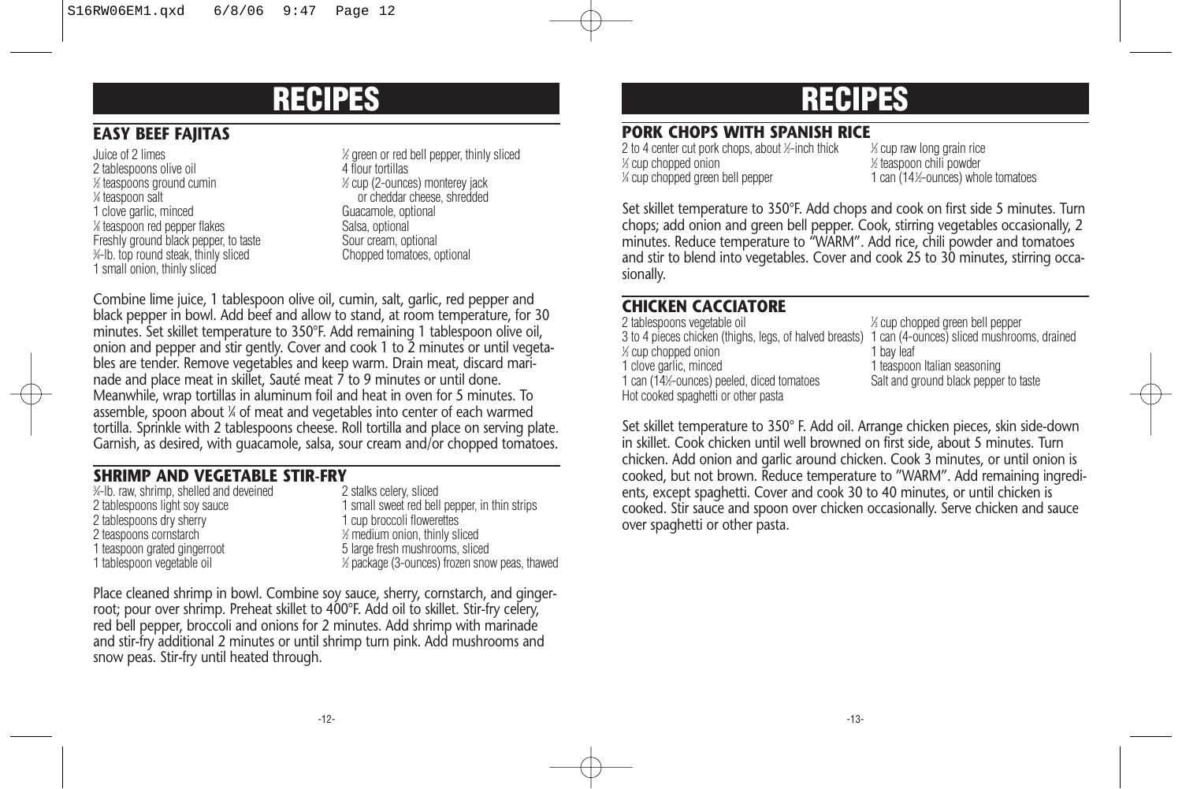### **RECIPES**

#### **EASY BEEF FAJITAS**

Juice of 2 limes <sup>1</sup> 2 tablespoons olive oil 1 ⁄2 teaspoons ground cumin <sup>1</sup> ⁄2 cup (2-ounces) monterey jack 1 1 clove garlic, minced<br>1/2 feaspoon red pepper flakes states and Guacamole, optional (Salsa, optional) % teaspoon red pepper flakes states and some Salsa, optional Freshly ground black pepper, to taste Sour cream, optional<br>
%-Ib. top round steak, thinly sliced Chopped tomatoes, optional 3 ⁄4-lb. top round steak, thinly sliced Chopped tomatoes, optional 1 small onion, thinly sliced

⁄2 green or red bell pepper, thinly sliced or cheddar cheese, shredded<br>Guacamole, optional

Combine lime juice, 1 tablespoon olive oil, cumin, salt, garlic, red pepper and black pepper in bowl. Add beef and allow to stand, at room temperature, for 30 minutes. Set skillet temperature to 350°F. Add remaining 1 tablespoon olive oil, onion and pepper and stir gently. Cover and cook 1 to 2 minutes or until vegetables are tender. Remove vegetables and keep warm. Drain meat, discard marinade and place meat in skillet, Sauté meat 7 to 9 minutes or until done. Meanwhile, wrap tortillas in aluminum foil and heat in oven for 5 minutes. To assemble, spoon about ¼ of meat and vegetables into center of each warmed tortilla. Sprinkle with 2 tablespoons cheese. Roll tortilla and place on serving plate. Garnish, as desired, with guacamole, salsa, sour cream and/or chopped tomatoes.

#### **SHRIMP AND VEGETABLE STIR-FRY**

| %-Ib. raw, shrimp, shelled and deveined | 2 stalks celery, sliced                         |
|-----------------------------------------|-------------------------------------------------|
| 2 tablespoons light soy sauce           | 1 small sweet red bell pepper, in thin strips   |
| 2 tablespoons dry sherry                | 1 cup broccoli flowerettes                      |
| 2 teaspoons cornstarch                  | $\frac{1}{2}$ medium onion, thinly sliced       |
| 1 teaspoon grated gingerroot            | 5 large fresh mushrooms, sliced                 |
| 1 tablespoon vegetable oil              | 1/2 package (3-ounces) frozen snow peas, thawed |

Place cleaned shrimp in bowl. Combine soy sauce, sherry, cornstarch, and gingerroot; pour over shrimp. Preheat skillet to 400°F. Add oil to skillet. Stir-fry celery, red bell pepper, broccoli and onions for 2 minutes. Add shrimp with marinade and stir-fry additional 2 minutes or until shrimp turn pink. Add mushrooms and snow peas. Stir-fry until heated through.

### **RECIPES**

#### **PORK CHOPS WITH SPANISH RICE**

2 to 4 center cut pork chops, about 1 ⁄2-inch thick <sup>1</sup> 1 ⁄3 cup chopped onion <sup>1</sup>  $\frac{1}{4}$  cup chopped green bell pepper  $1$  can (14)

⁄3 cup raw long grain rice ⁄2 teaspoon chili powder ⁄2-ounces) whole tomatoes

Set skillet temperature to 350°F. Add chops and cook on first side 5 minutes. Turn chops; add onion and green bell pepper. Cook, stirring vegetables occasionally, 2 minutes. Reduce temperature to "WARM". Add rice, chili powder and tomatoes and stir to blend into vegetables. Cover and cook 25 to 30 minutes, stirring occasionally.

#### **CHICKEN CACCIATORE**

| 2 tablespoons vegetable oil                                                                        | % cup chopped green bell pepper       |
|----------------------------------------------------------------------------------------------------|---------------------------------------|
| 3 to 4 pieces chicken (thighs, legs, of halved breasts) 1 can (4-ounces) sliced mushrooms, drained |                                       |
| % cup chopped onion                                                                                | 1 bay leaf                            |
| 1 clove garlic, minced                                                                             | 1 teaspoon Italian seasoning          |
| 1 can (14½-ounces) peeled, diced tomatoes                                                          | Salt and ground black pepper to taste |
| Hot cooked spaghetti or other pasta                                                                |                                       |

Set skillet temperature to 350° F. Add oil. Arrange chicken pieces, skin side-down in skillet. Cook chicken until well browned on first side, about 5 minutes. Turn chicken. Add onion and garlic around chicken. Cook 3 minutes, or until onion is cooked, but not brown. Reduce temperature to "WARM". Add remaining ingredients, except spaghetti. Cover and cook 30 to 40 minutes, or until chicken is cooked. Stir sauce and spoon over chicken occasionally. Serve chicken and sauce over spaghetti or other pasta.